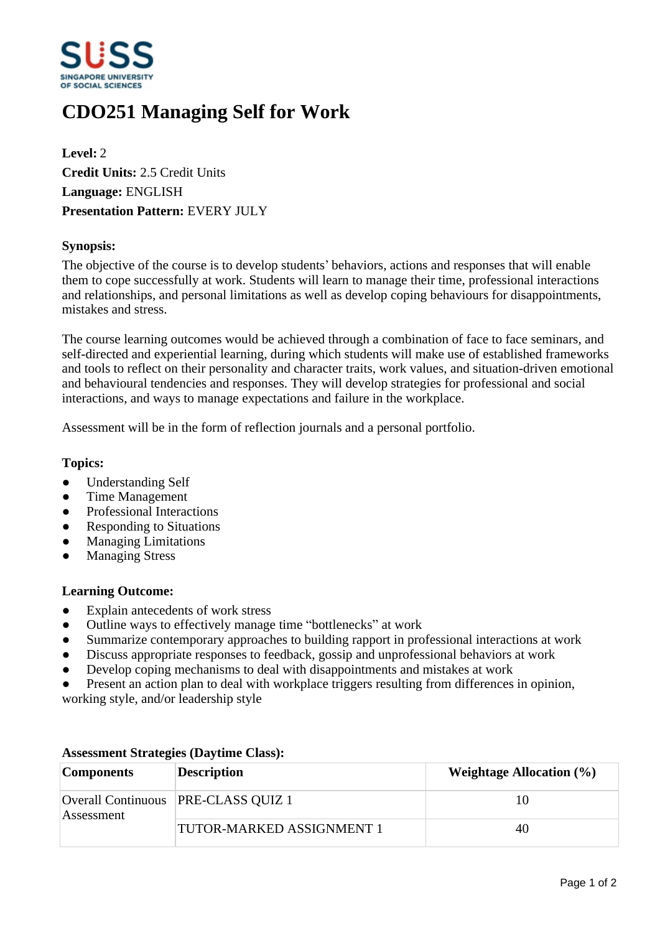

# **CDO251 Managing Self for Work**

**Level:** 2 **Credit Units:** 2.5 Credit Units **Language:** ENGLISH **Presentation Pattern:** EVERY JULY

## **Synopsis:**

The objective of the course is to develop students' behaviors, actions and responses that will enable them to cope successfully at work. Students will learn to manage their time, professional interactions and relationships, and personal limitations as well as develop coping behaviours for disappointments, mistakes and stress.

The course learning outcomes would be achieved through a combination of face to face seminars, and self-directed and experiential learning, during which students will make use of established frameworks and tools to reflect on their personality and character traits, work values, and situation-driven emotional and behavioural tendencies and responses. They will develop strategies for professional and social interactions, and ways to manage expectations and failure in the workplace.

Assessment will be in the form of reflection journals and a personal portfolio.

## **Topics:**

- Understanding Self
- ƔTime Management
- Professional Interactions
- Responding to Situations
- ƔManaging Limitations
- **Managing Stress**

#### **Learning Outcome:**

- Explain antecedents of work stress
- Outline ways to effectively manage time "bottlenecks" at work
- Summarize contemporary approaches to building rapport in professional interactions at work
- Discuss appropriate responses to feedback, gossip and unprofessional behaviors at work
- Develop coping mechanisms to deal with disappointments and mistakes at work
- Present an action plan to deal with workplace triggers resulting from differences in opinion, working style, and/or leadership style

| <b>Components</b> | <b>Description</b>                    | <b>Weightage Allocation (%)</b> |
|-------------------|---------------------------------------|---------------------------------|
| Assessment        | Overall Continuous   PRE-CLASS QUIZ 1 | 10                              |
|                   | <b>TUTOR-MARKED ASSIGNMENT 1</b>      | 40                              |

## **Assessment Strategies (Daytime Class):**